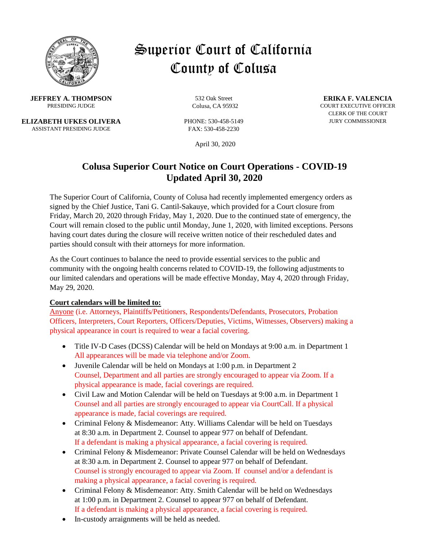

# Superior Court of California County of Colusa

**JEFFREY A. THOMPSON** 532 Oak Street **ERIKA F. VALENCIA**<br>PRESIDING JUDGE COURS CA 95932 COURT EXECUTIVE OFFICE

**ELIZABETH UFKES OLIVERA** PHONE: 530-458-5149 JURY COMMISSIONER ASSISTANT PRESIDING JUDGE FAX: 530-458-2230

April 30, 2020

## **Colusa Superior Court Notice on Court Operations - COVID-19 Updated April 30, 2020**

The Superior Court of California, County of Colusa had recently implemented emergency orders as signed by the Chief Justice, Tani G. Cantil-Sakauye, which provided for a Court closure from Friday, March 20, 2020 through Friday, May 1, 2020. Due to the continued state of emergency, the Court will remain closed to the public until Monday, June 1, 2020, with limited exceptions. Persons having court dates during the closure will receive written notice of their rescheduled dates and parties should consult with their attorneys for more information.

As the Court continues to balance the need to provide essential services to the public and community with the ongoing health concerns related to COVID-19, the following adjustments to our limited calendars and operations will be made effective Monday, May 4, 2020 through Friday, May 29, 2020.

#### **Court calendars will be limited to:**

Anyone (i.e. Attorneys, Plaintiffs/Petitioners, Respondents/Defendants, Prosecutors, Probation Officers, Interpreters, Court Reporters, Officers/Deputies, Victims, Witnesses, Observers) making a physical appearance in court is required to wear a facial covering.

- Title IV-D Cases (DCSS) Calendar will be held on Mondays at 9:00 a.m. in Department 1 All appearances will be made via telephone and/or Zoom.
- Juvenile Calendar will be held on Mondays at 1:00 p.m. in Department 2 Counsel, Department and all parties are strongly encouraged to appear via Zoom. If a physical appearance is made, facial coverings are required.
- Civil Law and Motion Calendar will be held on Tuesdays at 9:00 a.m. in Department 1 Counsel and all parties are strongly encouraged to appear via CourtCall. If a physical appearance is made, facial coverings are required.
- Criminal Felony & Misdemeanor: Atty. Williams Calendar will be held on Tuesdays at 8:30 a.m. in Department 2. Counsel to appear 977 on behalf of Defendant. If a defendant is making a physical appearance, a facial covering is required.
- Criminal Felony & Misdemeanor: Private Counsel Calendar will be held on Wednesdays at 8:30 a.m. in Department 2. Counsel to appear 977 on behalf of Defendant. Counsel is strongly encouraged to appear via Zoom. If counsel and/or a defendant is making a physical appearance, a facial covering is required.
- Criminal Felony & Misdemeanor: Atty. Smith Calendar will be held on Wednesdays at 1:00 p.m. in Department 2. Counsel to appear 977 on behalf of Defendant. If a defendant is making a physical appearance, a facial covering is required.
- In-custody arraignments will be held as needed.

**PRESIDING Colusa, CA 95932** COURT EXECUTIVE OFFICER CLERK OF THE COURT